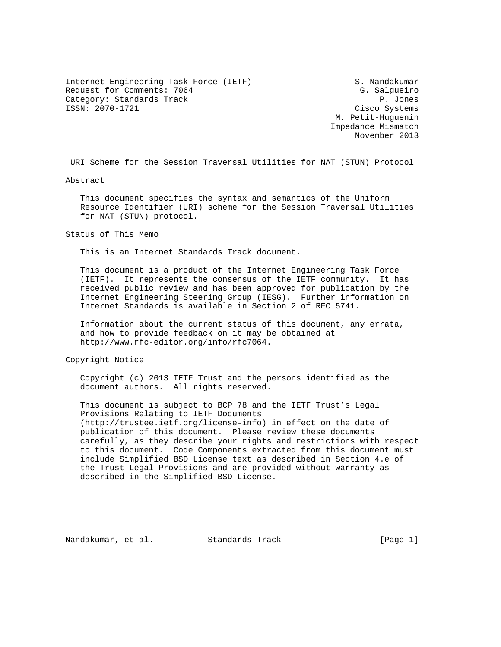Internet Engineering Task Force (IETF) S. Nandakumar Request for Comments: 7064 G. Salgueiro Category: Standards Track extends of the extension of the P. Jones ISSN: 2070-1721 Cisco Systems

 M. Petit-Huguenin Impedance Mismatch November 2013

URI Scheme for the Session Traversal Utilities for NAT (STUN) Protocol

Abstract

 This document specifies the syntax and semantics of the Uniform Resource Identifier (URI) scheme for the Session Traversal Utilities for NAT (STUN) protocol.

Status of This Memo

This is an Internet Standards Track document.

 This document is a product of the Internet Engineering Task Force (IETF). It represents the consensus of the IETF community. It has received public review and has been approved for publication by the Internet Engineering Steering Group (IESG). Further information on Internet Standards is available in Section 2 of RFC 5741.

 Information about the current status of this document, any errata, and how to provide feedback on it may be obtained at http://www.rfc-editor.org/info/rfc7064.

Copyright Notice

 Copyright (c) 2013 IETF Trust and the persons identified as the document authors. All rights reserved.

 This document is subject to BCP 78 and the IETF Trust's Legal Provisions Relating to IETF Documents (http://trustee.ietf.org/license-info) in effect on the date of publication of this document. Please review these documents carefully, as they describe your rights and restrictions with respect to this document. Code Components extracted from this document must include Simplified BSD License text as described in Section 4.e of the Trust Legal Provisions and are provided without warranty as described in the Simplified BSD License.

Nandakumar, et al. Standards Track [Page 1]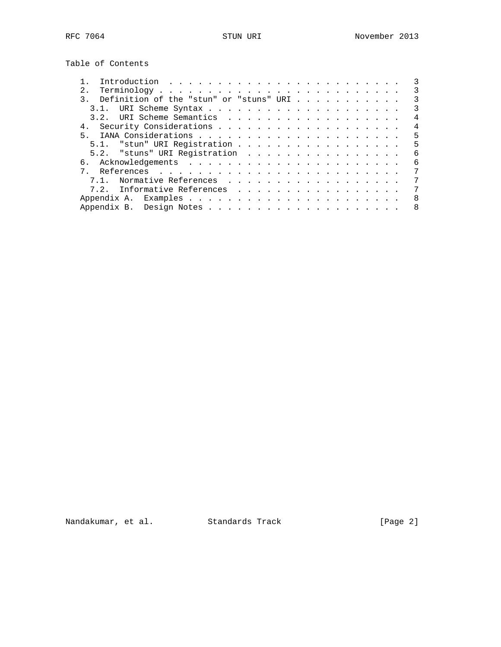Table of Contents

|                                               | 3 |
|-----------------------------------------------|---|
|                                               | 3 |
| Definition of the "stun" or "stuns" URI<br>3. | 3 |
|                                               | 3 |
|                                               | 4 |
|                                               | 4 |
| 5                                             | 5 |
| 5.1. "stun" URI Registration                  | 5 |
| 5.2. "stuns" URI Registration                 | 6 |
| რ.                                            | 6 |
|                                               | 7 |
| Normative References<br>71                    | 7 |
| 7.2. Informative References                   | 7 |
|                                               | 8 |
|                                               | 8 |
|                                               |   |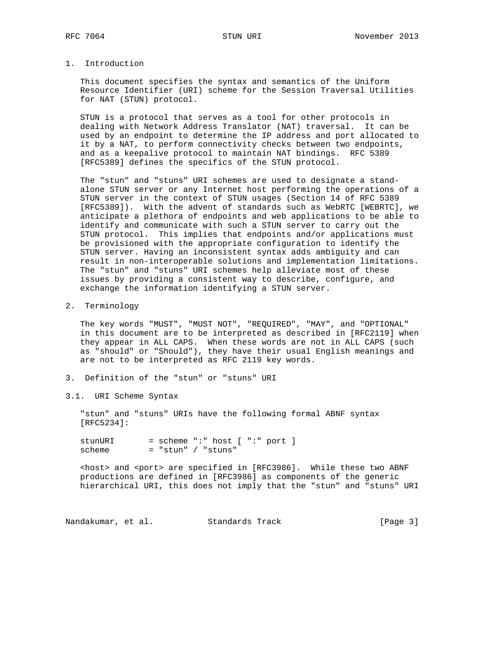## 1. Introduction

 This document specifies the syntax and semantics of the Uniform Resource Identifier (URI) scheme for the Session Traversal Utilities for NAT (STUN) protocol.

 STUN is a protocol that serves as a tool for other protocols in dealing with Network Address Translator (NAT) traversal. It can be used by an endpoint to determine the IP address and port allocated to it by a NAT, to perform connectivity checks between two endpoints, and as a keepalive protocol to maintain NAT bindings. RFC 5389 [RFC5389] defines the specifics of the STUN protocol.

 The "stun" and "stuns" URI schemes are used to designate a stand alone STUN server or any Internet host performing the operations of a STUN server in the context of STUN usages (Section 14 of RFC 5389 [RFC5389]). With the advent of standards such as WebRTC [WEBRTC], we anticipate a plethora of endpoints and web applications to be able to identify and communicate with such a STUN server to carry out the STUN protocol. This implies that endpoints and/or applications must be provisioned with the appropriate configuration to identify the STUN server. Having an inconsistent syntax adds ambiguity and can result in non-interoperable solutions and implementation limitations. The "stun" and "stuns" URI schemes help alleviate most of these issues by providing a consistent way to describe, configure, and exchange the information identifying a STUN server.

2. Terminology

 The key words "MUST", "MUST NOT", "REQUIRED", "MAY", and "OPTIONAL" in this document are to be interpreted as described in [RFC2119] when they appear in ALL CAPS. When these words are not in ALL CAPS (such as "should" or "Should"), they have their usual English meanings and are not to be interpreted as RFC 2119 key words.

- 3. Definition of the "stun" or "stuns" URI
- 3.1. URI Scheme Syntax

 "stun" and "stuns" URIs have the following formal ABNF syntax [RFC5234]:

stunURI = scheme ":" host [ ":" port ]  $scheme$  = "stun" / "stuns"

 <host> and <port> are specified in [RFC3986]. While these two ABNF productions are defined in [RFC3986] as components of the generic hierarchical URI, this does not imply that the "stun" and "stuns" URI

Nandakumar, et al. Standards Track (Page 3)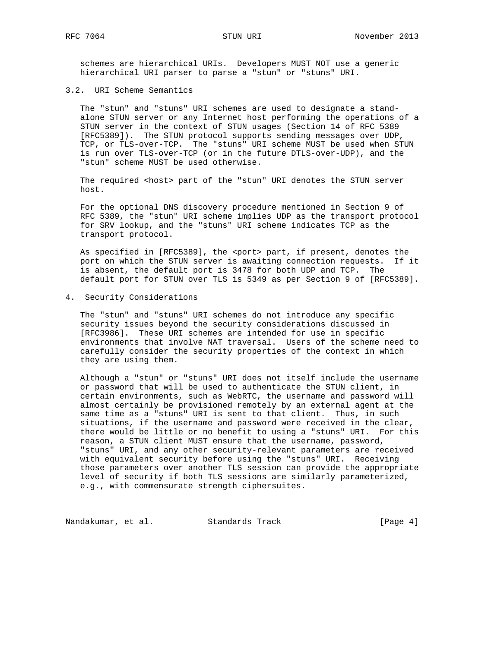schemes are hierarchical URIs. Developers MUST NOT use a generic hierarchical URI parser to parse a "stun" or "stuns" URI.

## 3.2. URI Scheme Semantics

 The "stun" and "stuns" URI schemes are used to designate a stand alone STUN server or any Internet host performing the operations of a STUN server in the context of STUN usages (Section 14 of RFC 5389 [RFC5389]). The STUN protocol supports sending messages over UDP, TCP, or TLS-over-TCP. The "stuns" URI scheme MUST be used when STUN is run over TLS-over-TCP (or in the future DTLS-over-UDP), and the "stun" scheme MUST be used otherwise.

The required <host> part of the "stun" URI denotes the STUN server host.

 For the optional DNS discovery procedure mentioned in Section 9 of RFC 5389, the "stun" URI scheme implies UDP as the transport protocol for SRV lookup, and the "stuns" URI scheme indicates TCP as the transport protocol.

As specified in [RFC5389], the <port> part, if present, denotes the port on which the STUN server is awaiting connection requests. If it is absent, the default port is 3478 for both UDP and TCP. The default port for STUN over TLS is 5349 as per Section 9 of [RFC5389].

4. Security Considerations

 The "stun" and "stuns" URI schemes do not introduce any specific security issues beyond the security considerations discussed in [RFC3986]. These URI schemes are intended for use in specific environments that involve NAT traversal. Users of the scheme need to carefully consider the security properties of the context in which they are using them.

 Although a "stun" or "stuns" URI does not itself include the username or password that will be used to authenticate the STUN client, in certain environments, such as WebRTC, the username and password will almost certainly be provisioned remotely by an external agent at the same time as a "stuns" URI is sent to that client. Thus, in such situations, if the username and password were received in the clear, there would be little or no benefit to using a "stuns" URI. For this reason, a STUN client MUST ensure that the username, password, "stuns" URI, and any other security-relevant parameters are received with equivalent security before using the "stuns" URI. Receiving those parameters over another TLS session can provide the appropriate level of security if both TLS sessions are similarly parameterized, e.g., with commensurate strength ciphersuites.

Nandakumar, et al. Standards Track [Page 4]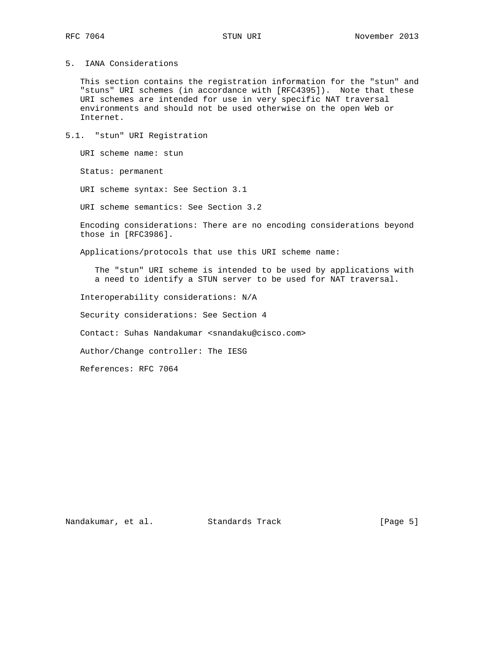5. IANA Considerations

 This section contains the registration information for the "stun" and "stuns" URI schemes (in accordance with [RFC4395]). Note that these URI schemes are intended for use in very specific NAT traversal environments and should not be used otherwise on the open Web or Internet.

5.1. "stun" URI Registration

URI scheme name: stun

Status: permanent

URI scheme syntax: See Section 3.1

URI scheme semantics: See Section 3.2

 Encoding considerations: There are no encoding considerations beyond those in [RFC3986].

Applications/protocols that use this URI scheme name:

 The "stun" URI scheme is intended to be used by applications with a need to identify a STUN server to be used for NAT traversal.

Interoperability considerations: N/A

Security considerations: See Section 4

Contact: Suhas Nandakumar <snandaku@cisco.com>

Author/Change controller: The IESG

References: RFC 7064

Nandakumar, et al. Standards Track [Page 5]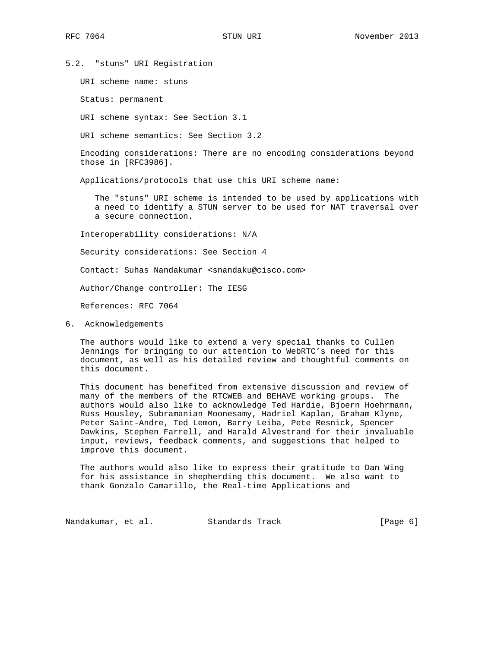5.2. "stuns" URI Registration

URI scheme name: stuns

Status: permanent

URI scheme syntax: See Section 3.1

URI scheme semantics: See Section 3.2

 Encoding considerations: There are no encoding considerations beyond those in [RFC3986].

Applications/protocols that use this URI scheme name:

 The "stuns" URI scheme is intended to be used by applications with a need to identify a STUN server to be used for NAT traversal over a secure connection.

Interoperability considerations: N/A

Security considerations: See Section 4

Contact: Suhas Nandakumar <snandaku@cisco.com>

Author/Change controller: The IESG

References: RFC 7064

6. Acknowledgements

 The authors would like to extend a very special thanks to Cullen Jennings for bringing to our attention to WebRTC's need for this document, as well as his detailed review and thoughtful comments on this document.

 This document has benefited from extensive discussion and review of many of the members of the RTCWEB and BEHAVE working groups. The authors would also like to acknowledge Ted Hardie, Bjoern Hoehrmann, Russ Housley, Subramanian Moonesamy, Hadriel Kaplan, Graham Klyne, Peter Saint-Andre, Ted Lemon, Barry Leiba, Pete Resnick, Spencer Dawkins, Stephen Farrell, and Harald Alvestrand for their invaluable input, reviews, feedback comments, and suggestions that helped to improve this document.

 The authors would also like to express their gratitude to Dan Wing for his assistance in shepherding this document. We also want to thank Gonzalo Camarillo, the Real-time Applications and

Nandakumar, et al. Standards Track [Page 6]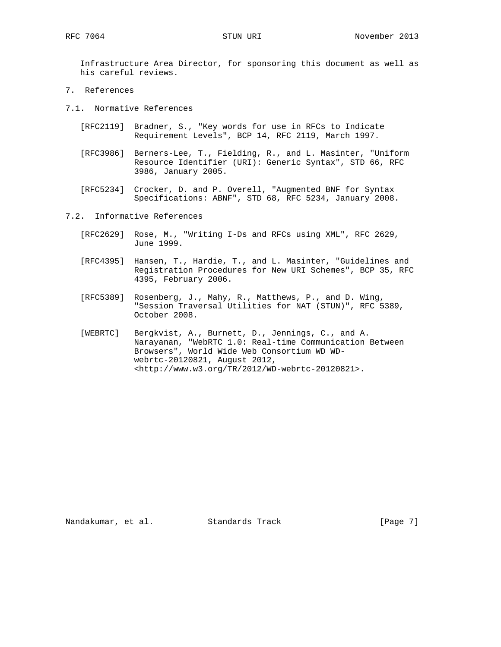Infrastructure Area Director, for sponsoring this document as well as his careful reviews.

- 7. References
- 7.1. Normative References
	- [RFC2119] Bradner, S., "Key words for use in RFCs to Indicate Requirement Levels", BCP 14, RFC 2119, March 1997.
	- [RFC3986] Berners-Lee, T., Fielding, R., and L. Masinter, "Uniform Resource Identifier (URI): Generic Syntax", STD 66, RFC 3986, January 2005.
	- [RFC5234] Crocker, D. and P. Overell, "Augmented BNF for Syntax Specifications: ABNF", STD 68, RFC 5234, January 2008.
- 7.2. Informative References
	- [RFC2629] Rose, M., "Writing I-Ds and RFCs using XML", RFC 2629, June 1999.
	- [RFC4395] Hansen, T., Hardie, T., and L. Masinter, "Guidelines and Registration Procedures for New URI Schemes", BCP 35, RFC 4395, February 2006.
	- [RFC5389] Rosenberg, J., Mahy, R., Matthews, P., and D. Wing, "Session Traversal Utilities for NAT (STUN)", RFC 5389, October 2008.
	- [WEBRTC] Bergkvist, A., Burnett, D., Jennings, C., and A. Narayanan, "WebRTC 1.0: Real-time Communication Between Browsers", World Wide Web Consortium WD WD webrtc-20120821, August 2012, <http://www.w3.org/TR/2012/WD-webrtc-20120821>.

Nandakumar, et al. Standards Track [Page 7]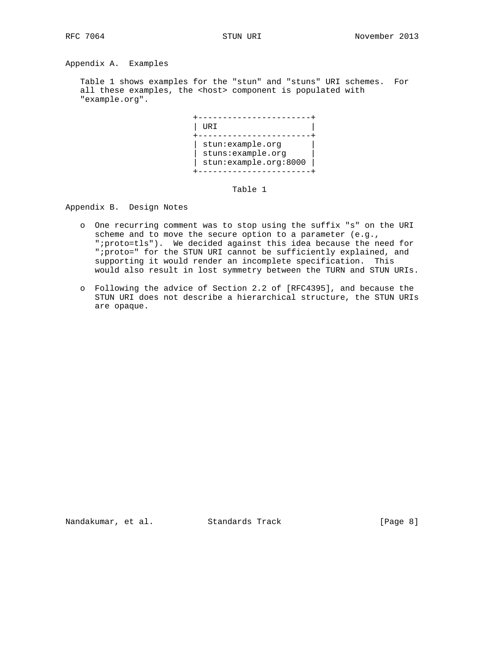Appendix A. Examples

 Table 1 shows examples for the "stun" and "stuns" URI schemes. For all these examples, the <host> component is populated with "example.org".



Table 1

Appendix B. Design Notes

- o One recurring comment was to stop using the suffix "s" on the URI scheme and to move the secure option to a parameter (e.g., ";proto=tls"). We decided against this idea because the need for ";proto=" for the STUN URI cannot be sufficiently explained, and supporting it would render an incomplete specification. This would also result in lost symmetry between the TURN and STUN URIs.
- o Following the advice of Section 2.2 of [RFC4395], and because the STUN URI does not describe a hierarchical structure, the STUN URIs are opaque.

Nandakumar, et al. Standards Track [Page 8]